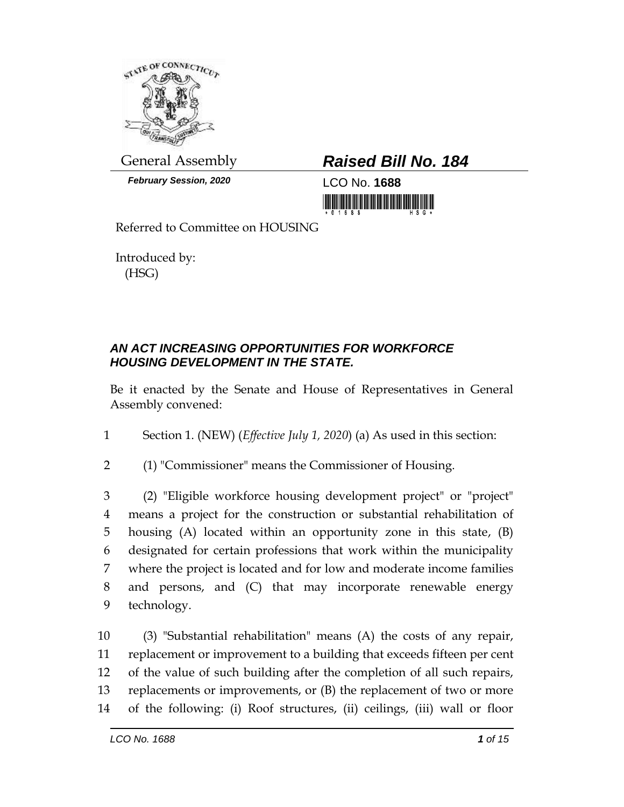

*February Session, 2020* LCO No. **1688**

## General Assembly *Raised Bill No. 184*

<u> 1999 - Andrea Stadt Maria Stadt Maria Stadt Maria Stadt Maria Stadt Maria Stadt Maria Stadt Maria Stadt Maria</u>

Referred to Committee on HOUSING

Introduced by: (HSG)

## *AN ACT INCREASING OPPORTUNITIES FOR WORKFORCE HOUSING DEVELOPMENT IN THE STATE.*

Be it enacted by the Senate and House of Representatives in General Assembly convened:

1 Section 1. (NEW) (*Effective July 1, 2020*) (a) As used in this section:

2 (1) "Commissioner" means the Commissioner of Housing.

 (2) "Eligible workforce housing development project" or "project" means a project for the construction or substantial rehabilitation of housing (A) located within an opportunity zone in this state, (B) designated for certain professions that work within the municipality where the project is located and for low and moderate income families and persons, and (C) that may incorporate renewable energy technology.

 (3) "Substantial rehabilitation" means (A) the costs of any repair, replacement or improvement to a building that exceeds fifteen per cent of the value of such building after the completion of all such repairs, replacements or improvements, or (B) the replacement of two or more of the following: (i) Roof structures, (ii) ceilings, (iii) wall or floor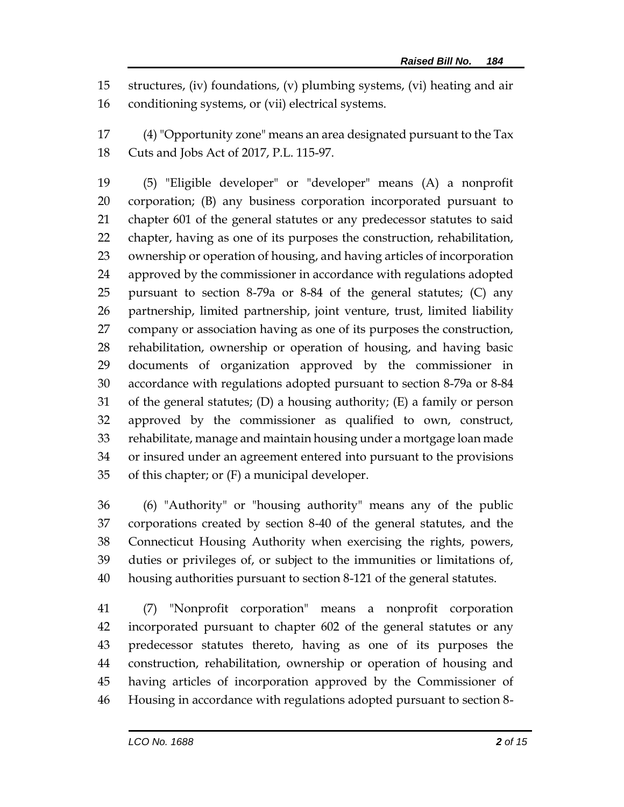structures, (iv) foundations, (v) plumbing systems, (vi) heating and air conditioning systems, or (vii) electrical systems.

 (4) "Opportunity zone" means an area designated pursuant to the Tax Cuts and Jobs Act of 2017, P.L. 115-97.

 (5) "Eligible developer" or "developer" means (A) a nonprofit corporation; (B) any business corporation incorporated pursuant to chapter 601 of the general statutes or any predecessor statutes to said chapter, having as one of its purposes the construction, rehabilitation, ownership or operation of housing, and having articles of incorporation approved by the commissioner in accordance with regulations adopted pursuant to section 8-79a or 8-84 of the general statutes; (C) any partnership, limited partnership, joint venture, trust, limited liability company or association having as one of its purposes the construction, rehabilitation, ownership or operation of housing, and having basic documents of organization approved by the commissioner in accordance with regulations adopted pursuant to section 8-79a or 8-84 of the general statutes; (D) a housing authority; (E) a family or person approved by the commissioner as qualified to own, construct, rehabilitate, manage and maintain housing under a mortgage loan made or insured under an agreement entered into pursuant to the provisions 35 of this chapter; or  $(F)$  a municipal developer.

 (6) "Authority" or "housing authority" means any of the public corporations created by section 8-40 of the general statutes, and the Connecticut Housing Authority when exercising the rights, powers, duties or privileges of, or subject to the immunities or limitations of, housing authorities pursuant to section 8-121 of the general statutes.

 (7) "Nonprofit corporation" means a nonprofit corporation incorporated pursuant to chapter 602 of the general statutes or any predecessor statutes thereto, having as one of its purposes the construction, rehabilitation, ownership or operation of housing and having articles of incorporation approved by the Commissioner of Housing in accordance with regulations adopted pursuant to section 8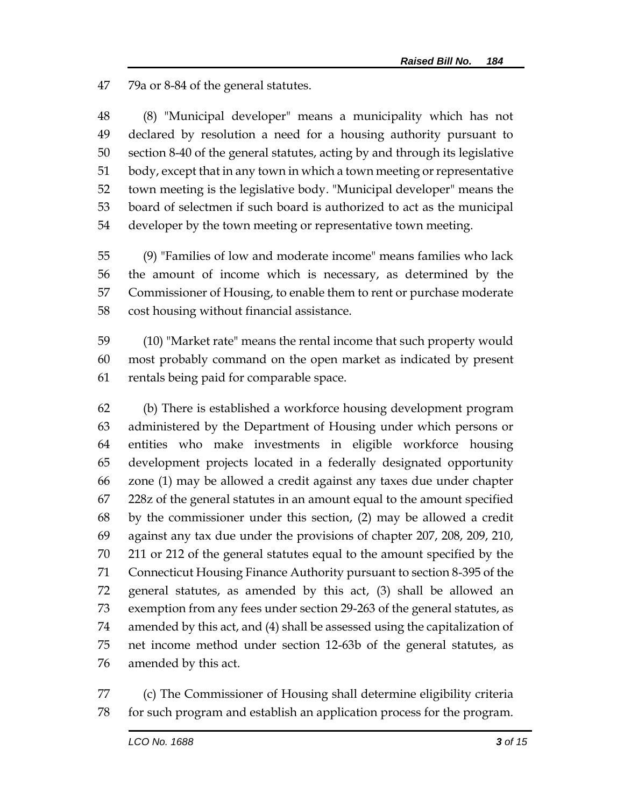79a or 8-84 of the general statutes.

 (8) "Municipal developer" means a municipality which has not declared by resolution a need for a housing authority pursuant to section 8-40 of the general statutes, acting by and through its legislative body, except that in any town in which a town meeting or representative town meeting is the legislative body. "Municipal developer" means the board of selectmen if such board is authorized to act as the municipal developer by the town meeting or representative town meeting.

 (9) "Families of low and moderate income" means families who lack the amount of income which is necessary, as determined by the Commissioner of Housing, to enable them to rent or purchase moderate cost housing without financial assistance.

 (10) "Market rate" means the rental income that such property would most probably command on the open market as indicated by present rentals being paid for comparable space.

 (b) There is established a workforce housing development program administered by the Department of Housing under which persons or entities who make investments in eligible workforce housing development projects located in a federally designated opportunity zone (1) may be allowed a credit against any taxes due under chapter 228z of the general statutes in an amount equal to the amount specified by the commissioner under this section, (2) may be allowed a credit against any tax due under the provisions of chapter 207, 208, 209, 210, 211 or 212 of the general statutes equal to the amount specified by the Connecticut Housing Finance Authority pursuant to section 8-395 of the general statutes, as amended by this act, (3) shall be allowed an exemption from any fees under section 29-263 of the general statutes, as amended by this act, and (4) shall be assessed using the capitalization of net income method under section 12-63b of the general statutes, as amended by this act.

 (c) The Commissioner of Housing shall determine eligibility criteria for such program and establish an application process for the program.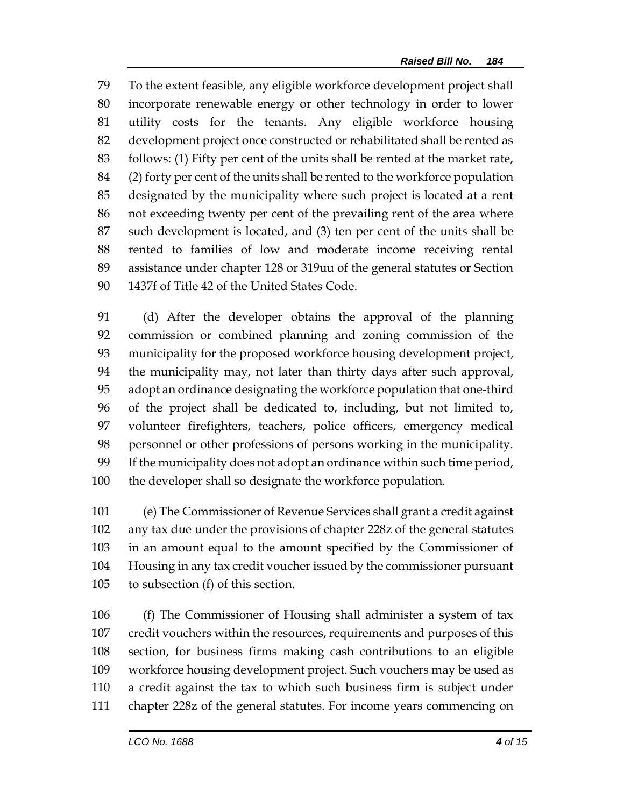To the extent feasible, any eligible workforce development project shall incorporate renewable energy or other technology in order to lower utility costs for the tenants. Any eligible workforce housing development project once constructed or rehabilitated shall be rented as follows: (1) Fifty per cent of the units shall be rented at the market rate, (2) forty per cent of the units shall be rented to the workforce population designated by the municipality where such project is located at a rent not exceeding twenty per cent of the prevailing rent of the area where such development is located, and (3) ten per cent of the units shall be rented to families of low and moderate income receiving rental assistance under chapter 128 or 319uu of the general statutes or Section 1437f of Title 42 of the United States Code.

 (d) After the developer obtains the approval of the planning commission or combined planning and zoning commission of the municipality for the proposed workforce housing development project, the municipality may, not later than thirty days after such approval, adopt an ordinance designating the workforce population that one-third of the project shall be dedicated to, including, but not limited to, volunteer firefighters, teachers, police officers, emergency medical personnel or other professions of persons working in the municipality. If the municipality does not adopt an ordinance within such time period, the developer shall so designate the workforce population.

 (e) The Commissioner of Revenue Services shall grant a credit against any tax due under the provisions of chapter 228z of the general statutes in an amount equal to the amount specified by the Commissioner of Housing in any tax credit voucher issued by the commissioner pursuant to subsection (f) of this section.

 (f) The Commissioner of Housing shall administer a system of tax credit vouchers within the resources, requirements and purposes of this section, for business firms making cash contributions to an eligible workforce housing development project. Such vouchers may be used as a credit against the tax to which such business firm is subject under chapter 228z of the general statutes. For income years commencing on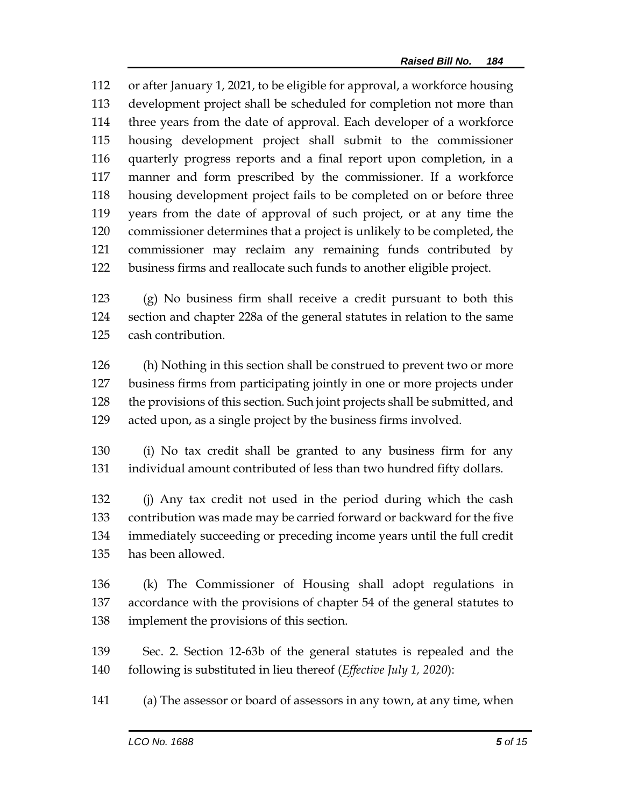or after January 1, 2021, to be eligible for approval, a workforce housing development project shall be scheduled for completion not more than three years from the date of approval. Each developer of a workforce housing development project shall submit to the commissioner quarterly progress reports and a final report upon completion, in a manner and form prescribed by the commissioner. If a workforce housing development project fails to be completed on or before three years from the date of approval of such project, or at any time the commissioner determines that a project is unlikely to be completed, the commissioner may reclaim any remaining funds contributed by business firms and reallocate such funds to another eligible project.

 (g) No business firm shall receive a credit pursuant to both this section and chapter 228a of the general statutes in relation to the same cash contribution.

 (h) Nothing in this section shall be construed to prevent two or more business firms from participating jointly in one or more projects under the provisions of this section. Such joint projects shall be submitted, and acted upon, as a single project by the business firms involved.

 (i) No tax credit shall be granted to any business firm for any individual amount contributed of less than two hundred fifty dollars.

 (j) Any tax credit not used in the period during which the cash contribution was made may be carried forward or backward for the five immediately succeeding or preceding income years until the full credit has been allowed.

 (k) The Commissioner of Housing shall adopt regulations in accordance with the provisions of chapter 54 of the general statutes to implement the provisions of this section.

 Sec. 2. Section 12-63b of the general statutes is repealed and the following is substituted in lieu thereof (*Effective July 1, 2020*):

(a) The assessor or board of assessors in any town, at any time, when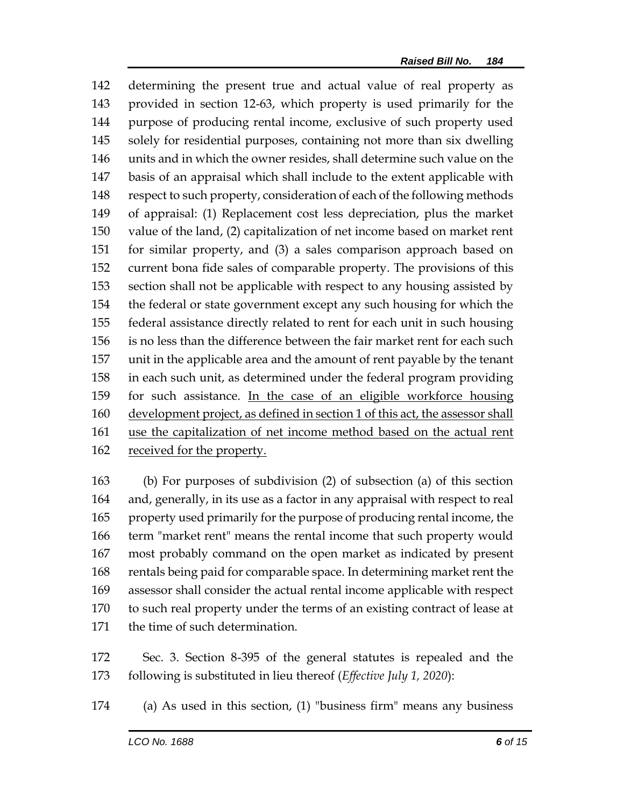determining the present true and actual value of real property as provided in section 12-63, which property is used primarily for the purpose of producing rental income, exclusive of such property used solely for residential purposes, containing not more than six dwelling units and in which the owner resides, shall determine such value on the basis of an appraisal which shall include to the extent applicable with respect to such property, consideration of each of the following methods of appraisal: (1) Replacement cost less depreciation, plus the market value of the land, (2) capitalization of net income based on market rent for similar property, and (3) a sales comparison approach based on current bona fide sales of comparable property. The provisions of this section shall not be applicable with respect to any housing assisted by the federal or state government except any such housing for which the federal assistance directly related to rent for each unit in such housing is no less than the difference between the fair market rent for each such unit in the applicable area and the amount of rent payable by the tenant in each such unit, as determined under the federal program providing 159 for such assistance. In the case of an eligible workforce housing development project, as defined in section 1 of this act, the assessor shall use the capitalization of net income method based on the actual rent received for the property.

 (b) For purposes of subdivision (2) of subsection (a) of this section and, generally, in its use as a factor in any appraisal with respect to real property used primarily for the purpose of producing rental income, the term "market rent" means the rental income that such property would most probably command on the open market as indicated by present rentals being paid for comparable space. In determining market rent the assessor shall consider the actual rental income applicable with respect to such real property under the terms of an existing contract of lease at the time of such determination.

 Sec. 3. Section 8-395 of the general statutes is repealed and the following is substituted in lieu thereof (*Effective July 1, 2020*):

(a) As used in this section, (1) "business firm" means any business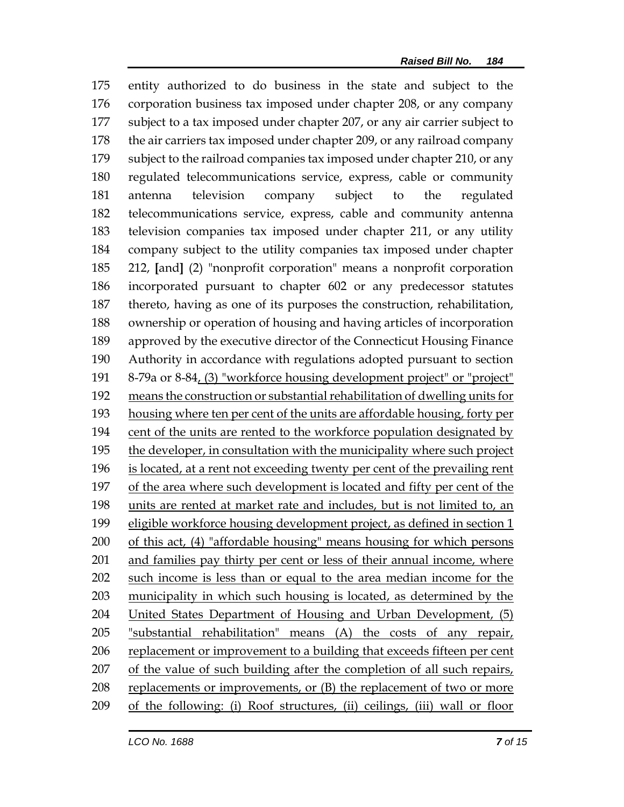entity authorized to do business in the state and subject to the corporation business tax imposed under chapter 208, or any company subject to a tax imposed under chapter 207, or any air carrier subject to 178 the air carriers tax imposed under chapter 209, or any railroad company subject to the railroad companies tax imposed under chapter 210, or any regulated telecommunications service, express, cable or community antenna television company subject to the regulated telecommunications service, express, cable and community antenna television companies tax imposed under chapter 211, or any utility company subject to the utility companies tax imposed under chapter 212, **[**and**]** (2) "nonprofit corporation" means a nonprofit corporation incorporated pursuant to chapter 602 or any predecessor statutes thereto, having as one of its purposes the construction, rehabilitation, ownership or operation of housing and having articles of incorporation approved by the executive director of the Connecticut Housing Finance Authority in accordance with regulations adopted pursuant to section 8-79a or 8-84, (3) "workforce housing development project" or "project" means the construction or substantial rehabilitation of dwelling units for housing where ten per cent of the units are affordable housing, forty per cent of the units are rented to the workforce population designated by 195 the developer, in consultation with the municipality where such project is located, at a rent not exceeding twenty per cent of the prevailing rent of the area where such development is located and fifty per cent of the units are rented at market rate and includes, but is not limited to, an eligible workforce housing development project, as defined in section 1 of this act, (4) "affordable housing" means housing for which persons and families pay thirty per cent or less of their annual income, where such income is less than or equal to the area median income for the municipality in which such housing is located, as determined by the United States Department of Housing and Urban Development, (5) "substantial rehabilitation" means (A) the costs of any repair, replacement or improvement to a building that exceeds fifteen per cent of the value of such building after the completion of all such repairs, replacements or improvements, or (B) the replacement of two or more of the following: (i) Roof structures, (ii) ceilings, (iii) wall or floor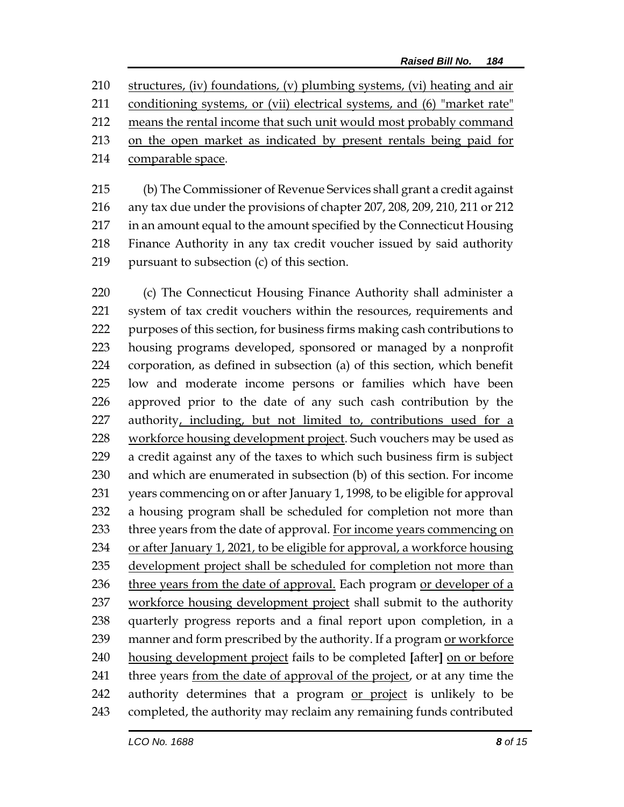structures, (iv) foundations, (v) plumbing systems, (vi) heating and air conditioning systems, or (vii) electrical systems, and (6) "market rate" means the rental income that such unit would most probably command on the open market as indicated by present rentals being paid for comparable space.

 (b) The Commissioner of Revenue Services shall grant a credit against any tax due under the provisions of chapter 207, 208, 209, 210, 211 or 212 in an amount equal to the amount specified by the Connecticut Housing Finance Authority in any tax credit voucher issued by said authority pursuant to subsection (c) of this section.

220 (c) The Connecticut Housing Finance Authority shall administer a system of tax credit vouchers within the resources, requirements and purposes of this section, for business firms making cash contributions to housing programs developed, sponsored or managed by a nonprofit corporation, as defined in subsection (a) of this section, which benefit low and moderate income persons or families which have been approved prior to the date of any such cash contribution by the authority, including, but not limited to, contributions used for a 228 workforce housing development project. Such vouchers may be used as a credit against any of the taxes to which such business firm is subject and which are enumerated in subsection (b) of this section. For income years commencing on or after January 1, 1998, to be eligible for approval a housing program shall be scheduled for completion not more than 233 three years from the date of approval. For income years commencing on 234 or after January 1, 2021, to be eligible for approval, a workforce housing development project shall be scheduled for completion not more than 236 three years from the date of approval. Each program or developer of a workforce housing development project shall submit to the authority quarterly progress reports and a final report upon completion, in a manner and form prescribed by the authority. If a program or workforce housing development project fails to be completed **[**after**]** on or before 241 three years from the date of approval of the project, or at any time the 242 authority determines that a program or project is unlikely to be completed, the authority may reclaim any remaining funds contributed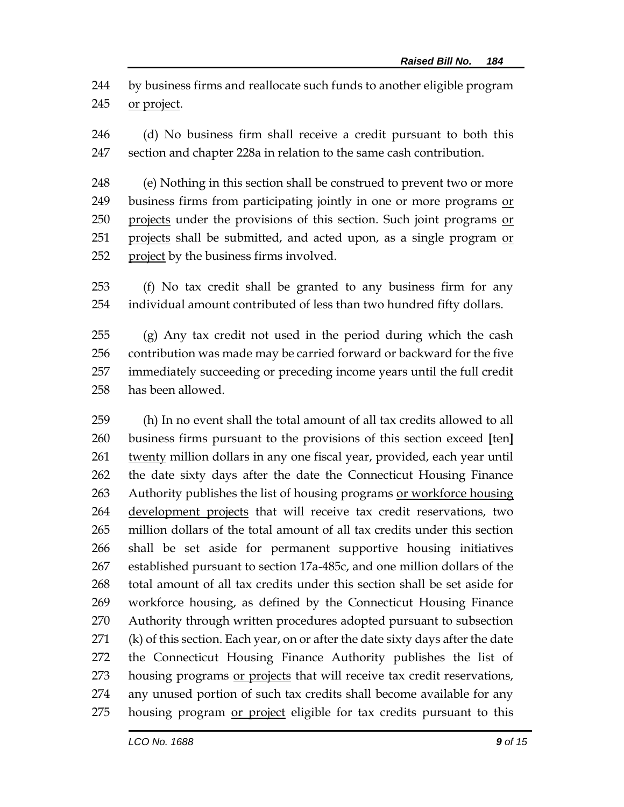by business firms and reallocate such funds to another eligible program or project.

 (d) No business firm shall receive a credit pursuant to both this section and chapter 228a in relation to the same cash contribution.

 (e) Nothing in this section shall be construed to prevent two or more business firms from participating jointly in one or more programs or 250 projects under the provisions of this section. Such joint programs or 251 projects shall be submitted, and acted upon, as a single program or project by the business firms involved.

 (f) No tax credit shall be granted to any business firm for any individual amount contributed of less than two hundred fifty dollars.

 (g) Any tax credit not used in the period during which the cash contribution was made may be carried forward or backward for the five immediately succeeding or preceding income years until the full credit has been allowed.

 (h) In no event shall the total amount of all tax credits allowed to all business firms pursuant to the provisions of this section exceed **[**ten**]** 261 twenty million dollars in any one fiscal year, provided, each year until the date sixty days after the date the Connecticut Housing Finance Authority publishes the list of housing programs or workforce housing 264 development projects that will receive tax credit reservations, two million dollars of the total amount of all tax credits under this section shall be set aside for permanent supportive housing initiatives established pursuant to section 17a-485c, and one million dollars of the total amount of all tax credits under this section shall be set aside for workforce housing, as defined by the Connecticut Housing Finance Authority through written procedures adopted pursuant to subsection (k) of this section. Each year, on or after the date sixty days after the date the Connecticut Housing Finance Authority publishes the list of 273 housing programs or projects that will receive tax credit reservations, any unused portion of such tax credits shall become available for any 275 housing program or project eligible for tax credits pursuant to this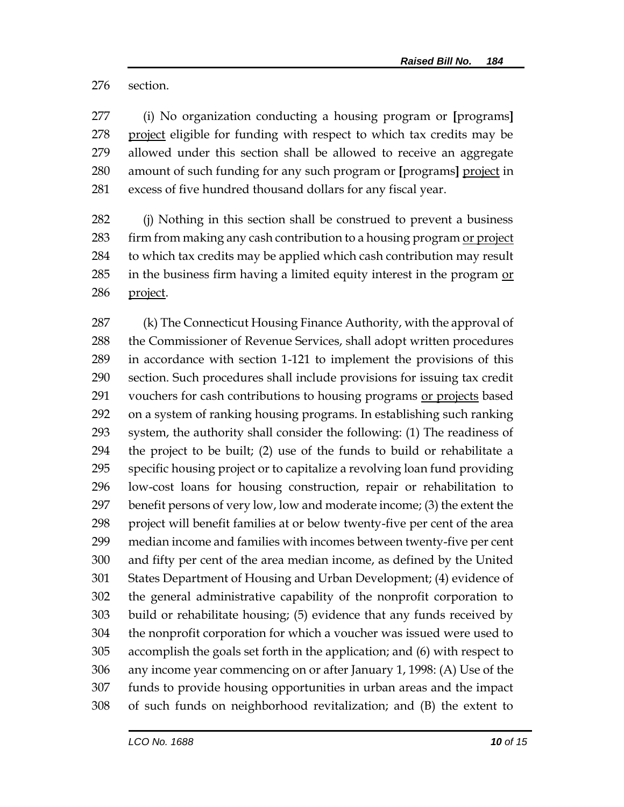section.

 (i) No organization conducting a housing program or **[**programs**]** project eligible for funding with respect to which tax credits may be allowed under this section shall be allowed to receive an aggregate amount of such funding for any such program or **[**programs**]** project in excess of five hundred thousand dollars for any fiscal year.

 (j) Nothing in this section shall be construed to prevent a business 283 firm from making any cash contribution to a housing program or project to which tax credits may be applied which cash contribution may result in the business firm having a limited equity interest in the program or project.

 (k) The Connecticut Housing Finance Authority, with the approval of the Commissioner of Revenue Services, shall adopt written procedures in accordance with section 1-121 to implement the provisions of this section. Such procedures shall include provisions for issuing tax credit 291 vouchers for cash contributions to housing programs or projects based on a system of ranking housing programs. In establishing such ranking system, the authority shall consider the following: (1) The readiness of the project to be built; (2) use of the funds to build or rehabilitate a specific housing project or to capitalize a revolving loan fund providing low-cost loans for housing construction, repair or rehabilitation to benefit persons of very low, low and moderate income; (3) the extent the project will benefit families at or below twenty-five per cent of the area median income and families with incomes between twenty-five per cent and fifty per cent of the area median income, as defined by the United States Department of Housing and Urban Development; (4) evidence of the general administrative capability of the nonprofit corporation to build or rehabilitate housing; (5) evidence that any funds received by the nonprofit corporation for which a voucher was issued were used to accomplish the goals set forth in the application; and (6) with respect to any income year commencing on or after January 1, 1998: (A) Use of the funds to provide housing opportunities in urban areas and the impact of such funds on neighborhood revitalization; and (B) the extent to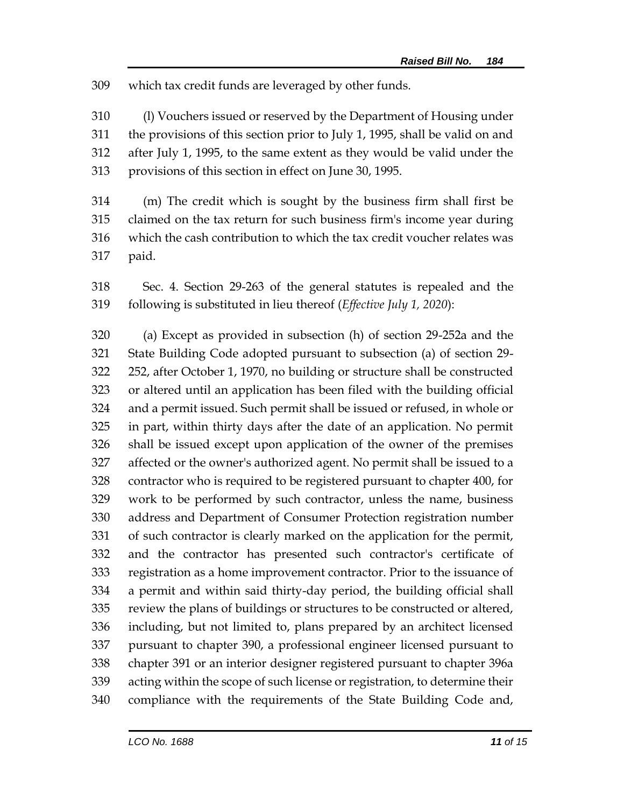which tax credit funds are leveraged by other funds.

 (l) Vouchers issued or reserved by the Department of Housing under the provisions of this section prior to July 1, 1995, shall be valid on and after July 1, 1995, to the same extent as they would be valid under the provisions of this section in effect on June 30, 1995.

 (m) The credit which is sought by the business firm shall first be claimed on the tax return for such business firm's income year during which the cash contribution to which the tax credit voucher relates was paid.

 Sec. 4. Section 29-263 of the general statutes is repealed and the following is substituted in lieu thereof (*Effective July 1, 2020*):

 (a) Except as provided in subsection (h) of section 29-252a and the State Building Code adopted pursuant to subsection (a) of section 29- 252, after October 1, 1970, no building or structure shall be constructed or altered until an application has been filed with the building official and a permit issued. Such permit shall be issued or refused, in whole or in part, within thirty days after the date of an application. No permit shall be issued except upon application of the owner of the premises affected or the owner's authorized agent. No permit shall be issued to a contractor who is required to be registered pursuant to chapter 400, for work to be performed by such contractor, unless the name, business address and Department of Consumer Protection registration number of such contractor is clearly marked on the application for the permit, and the contractor has presented such contractor's certificate of registration as a home improvement contractor. Prior to the issuance of a permit and within said thirty-day period, the building official shall review the plans of buildings or structures to be constructed or altered, including, but not limited to, plans prepared by an architect licensed pursuant to chapter 390, a professional engineer licensed pursuant to chapter 391 or an interior designer registered pursuant to chapter 396a acting within the scope of such license or registration, to determine their compliance with the requirements of the State Building Code and,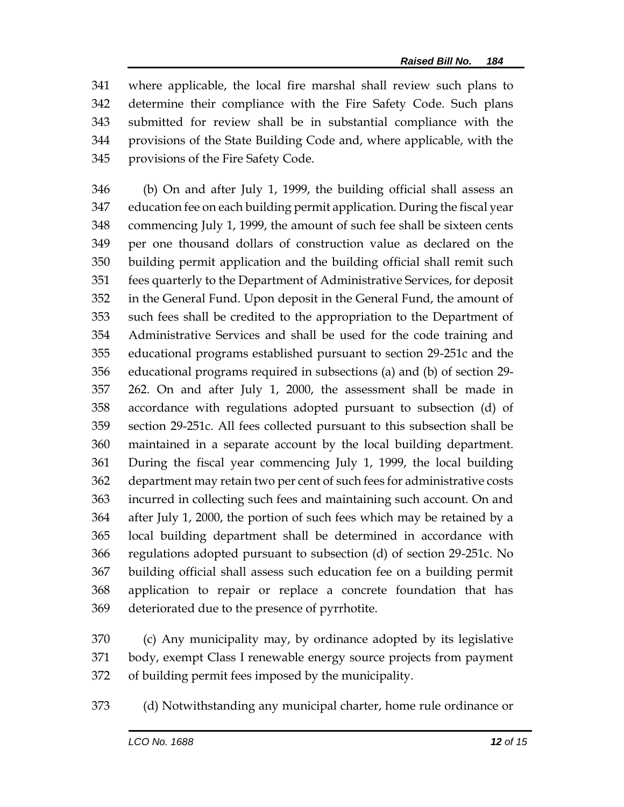where applicable, the local fire marshal shall review such plans to determine their compliance with the Fire Safety Code. Such plans submitted for review shall be in substantial compliance with the provisions of the State Building Code and, where applicable, with the provisions of the Fire Safety Code.

 (b) On and after July 1, 1999, the building official shall assess an education fee on each building permit application. During the fiscal year commencing July 1, 1999, the amount of such fee shall be sixteen cents per one thousand dollars of construction value as declared on the building permit application and the building official shall remit such fees quarterly to the Department of Administrative Services, for deposit in the General Fund. Upon deposit in the General Fund, the amount of such fees shall be credited to the appropriation to the Department of Administrative Services and shall be used for the code training and educational programs established pursuant to section 29-251c and the educational programs required in subsections (a) and (b) of section 29- 262. On and after July 1, 2000, the assessment shall be made in accordance with regulations adopted pursuant to subsection (d) of section 29-251c. All fees collected pursuant to this subsection shall be maintained in a separate account by the local building department. During the fiscal year commencing July 1, 1999, the local building department may retain two per cent of such fees for administrative costs incurred in collecting such fees and maintaining such account. On and after July 1, 2000, the portion of such fees which may be retained by a local building department shall be determined in accordance with regulations adopted pursuant to subsection (d) of section 29-251c. No building official shall assess such education fee on a building permit application to repair or replace a concrete foundation that has deteriorated due to the presence of pyrrhotite.

 (c) Any municipality may, by ordinance adopted by its legislative body, exempt Class I renewable energy source projects from payment of building permit fees imposed by the municipality.

(d) Notwithstanding any municipal charter, home rule ordinance or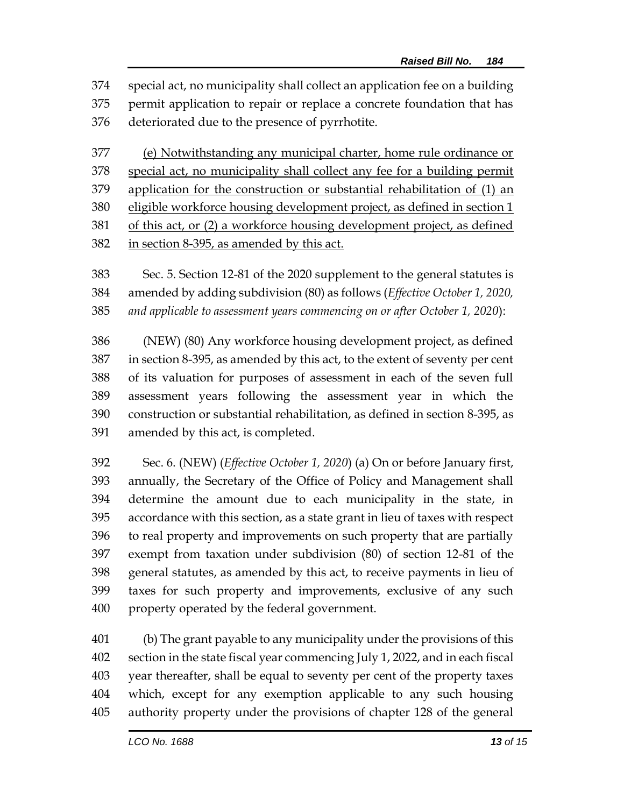special act, no municipality shall collect an application fee on a building permit application to repair or replace a concrete foundation that has deteriorated due to the presence of pyrrhotite.

 (e) Notwithstanding any municipal charter, home rule ordinance or special act, no municipality shall collect any fee for a building permit application for the construction or substantial rehabilitation of (1) an eligible workforce housing development project, as defined in section 1 of this act, or (2) a workforce housing development project, as defined in section 8-395, as amended by this act.

 Sec. 5. Section 12-81 of the 2020 supplement to the general statutes is amended by adding subdivision (80) as follows (*Effective October 1, 2020, and applicable to assessment years commencing on or after October 1, 2020*):

 (NEW) (80) Any workforce housing development project, as defined in section 8-395, as amended by this act, to the extent of seventy per cent of its valuation for purposes of assessment in each of the seven full assessment years following the assessment year in which the construction or substantial rehabilitation, as defined in section 8-395, as amended by this act, is completed.

 Sec. 6. (NEW) (*Effective October 1, 2020*) (a) On or before January first, annually, the Secretary of the Office of Policy and Management shall determine the amount due to each municipality in the state, in accordance with this section, as a state grant in lieu of taxes with respect to real property and improvements on such property that are partially exempt from taxation under subdivision (80) of section 12-81 of the general statutes, as amended by this act, to receive payments in lieu of taxes for such property and improvements, exclusive of any such property operated by the federal government.

 (b) The grant payable to any municipality under the provisions of this section in the state fiscal year commencing July 1, 2022, and in each fiscal year thereafter, shall be equal to seventy per cent of the property taxes which, except for any exemption applicable to any such housing authority property under the provisions of chapter 128 of the general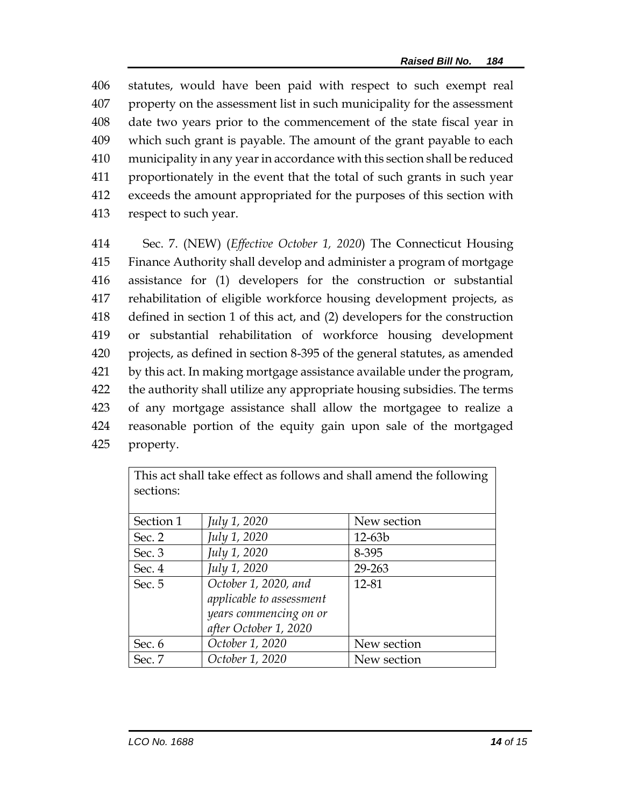statutes, would have been paid with respect to such exempt real property on the assessment list in such municipality for the assessment date two years prior to the commencement of the state fiscal year in which such grant is payable. The amount of the grant payable to each municipality in any year in accordance with this section shall be reduced proportionately in the event that the total of such grants in such year exceeds the amount appropriated for the purposes of this section with respect to such year.

 Sec. 7. (NEW) (*Effective October 1, 2020*) The Connecticut Housing Finance Authority shall develop and administer a program of mortgage assistance for (1) developers for the construction or substantial rehabilitation of eligible workforce housing development projects, as defined in section 1 of this act, and (2) developers for the construction or substantial rehabilitation of workforce housing development projects, as defined in section 8-395 of the general statutes, as amended by this act. In making mortgage assistance available under the program, the authority shall utilize any appropriate housing subsidies. The terms of any mortgage assistance shall allow the mortgagee to realize a reasonable portion of the equity gain upon sale of the mortgaged property.

| sections: |                          |             |
|-----------|--------------------------|-------------|
| Section 1 | July 1, 2020             | New section |
| Sec. 2    | July 1, 2020             | $12 - 63b$  |
| Sec. 3    | July 1, 2020             | 8-395       |
| Sec. 4    | July 1, 2020             | 29-263      |
| Sec. 5    | October 1, 2020, and     | 12-81       |
|           | applicable to assessment |             |
|           | years commencing on or   |             |
|           | after October 1, 2020    |             |
| Sec. 6    | October 1, 2020          | New section |
| Sec. 7    | October 1, 2020          | New section |

This act shall take effect as follows and shall amend the following